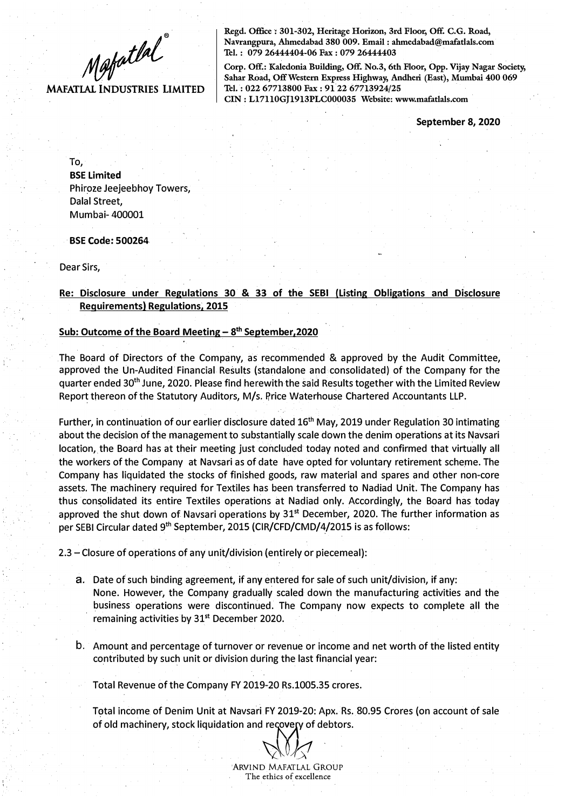$M$ gfatlal

**MAFATLAL INDUSTRIES LIMITED** 

Regd. Office: 301-302, Heritage Horizon, 3rd Floor, Off. C.G. Road, **Navrangpura, Ahmedabad 380 009. Email : ahmedabad@mafatlals.com Tel. : 079 26444404-06 Fax : 079 26444403** 

Corp. Off.: Kaledonia Building, Off. No.3, 6th Floor, Opp. Vijay Nagar Society, **Sahar Road, OffWestern Express Highway, Andheri (East), Mumbai 400 069 Tel. : 022 67713800 Fax : 9122 67713924/25 CIN: Ll7110GJ1913PLC000035 Website: www.mafatlals.com** 

**September 8, 2020** 

To, **BSE Limited**  Phiroze Jeejeebhoy Towers, Dalal Street, Mumbai- 400001

**BSE Code: 500264** 

Dear Sirs,

## **Re: Disclosure under Regulations 30 & 33 of the SEBI (Listing Obligations and Disclosure Requirements) Regulations, 2015**

#### **Sub: Outcome of the Board Meeting- 8 th September,2020**

The Board of Directors of the Company, as recommended & approved by the Audit Committee, approved the Un-Audited Financial Results (standalone and consolidated) of the Company for the quarter ended 30<sup>th</sup> June, 2020. Please find herewith the said Results together with the Limited Review Report thereon of the Statutory Auditors, M/s. Price Waterhouse Chartered Accountants LLP.

Further, in continuation of our earlier disclosure dated 16<sup>th</sup> May, 2019 under Regulation 30 intimating about the decision of the management to substantially scale down the denim operations at its Navsari location, the Board has at their meeting just concluded today noted and confirmed that virtually all the workers of the Company at Navsari as of date have opted for voluntary retirement scheme. The Company has liquidated the stocks of finished goods, raw material and spares and other non-core assets. The machinery required for Textiles has been transferred to Nadiad Unit. The Company has thus con�olidated its entire Textiles operations at Nadiad only. Accordingly, the Board has today approved the shut down of Navsari operations by  $31<sup>st</sup>$  December, 2020. The further information as per SEBI Circular dated 9<sup>th</sup> September, 2015 (CIR/CFD/CMD/4/2015 is as follows:

2.3 - Closure of operations of any unit/division (entirely or piecemeal):

- a. Date of such binding agreement, if any entered for sale of such unit/division, if any: None. However, the Company gradually scaled down the manufacturing activities and the business operations were discontinued. The Company now expects to complete all the remaining activities by  $31<sup>st</sup>$  December 2020.
- b. Amount and percentage of turnover or revenue or income and net worth of the listed entity contributed by such unit or division during the last financial year:

Total Revenue of the Company FY 2019-20 Rs.1005.35 crores.

Total income of Denim Unit at Navsari FY 2019-20: Apx. Rs. 80.95 Crores (on account of sale of old machinery, stock liquidation and recovery of debtors.

*�J)ff*  'ARVIND MAFATLAL GROUP The ethics of excellence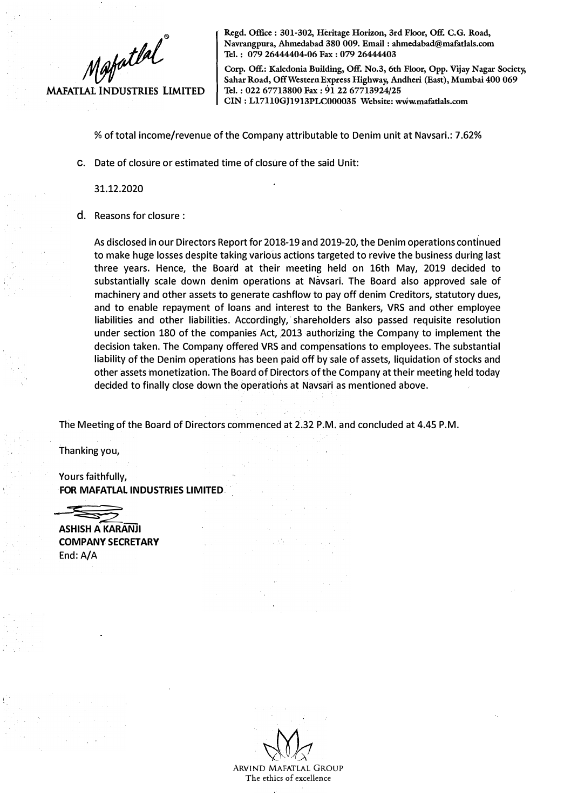

**Regd. Office : 301-302, Heritage Horizon, 3rd Floor, Off. C.G. Road, N avrangpura, Ahmedabad 380 009. Email : ahmedabad@mafatlals.com Tel. : 079 26444404-06 Fax : 079 26444403** 

**Corp. Off.: Kaledonia Building, Off. No.3, 6th Floor, Opp. Vijay Nagar Society, Sahar Road, Off Western Express Highway, Andheri (East), Mumbai 400 069 Tel. : 022 67713800 Fax : 91 22 67713924/25 CIN: Ll7110GJ1913PLC000035 Website: www.mafatlals.com** 

% of total income/revenue of the Company attributable to Denim unit at Navsari.: 7 .62%

c. Date of closure or estimated time of closure of the said Unit:

31.12.2020

d. Reasons for closure :

As disclosed in our Directors Report for 2018-19 and 2019-20, the Denim operations continued to make huge losses despite taking various actions targeted to revive the business during last three years. Hence, the Board at their meeting held on 16th May, 2019 decided to substantially scale down denim operations at Navsari. The Board also approved sale of machinery and other assets to generate cashflow to pay off denim Creditors, statutory dues, and to enable repayment of loans and interest to the Bankers, VRS and other employee liabilities and other liabilities. Accordingly, shareholders also passed requisite resolution under section 180 of the companies Act, 2013 authorizing the Company to implement the decision taken. The Company offered VRS and compensations to employees. The substantial liability of the Denim operations has been paid off by sale of assets, liquidation of stocks and other assets monetization. The Board of Directors of the Company at their meeting held today decided to finally close down the operations at Navsari as mentioned above.

The Meeting of the Board of Directors commenced at 2.32 P.M. and concluded at 4.45 P.M.

Thanking you,

Yours faithfully, **FOR MAFATLAL INDUSTRIES LIMITED** 

ASHISH A KARANJI

**COMPANY SECRETARY**  End: A/A

ARVIND MAFATLAL GROUP **The ethics of excellence**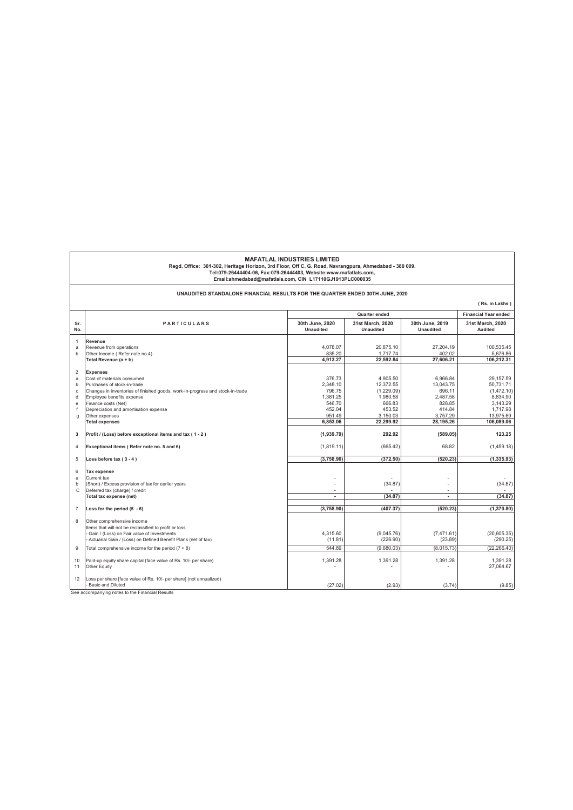**Email:ahmedabad@mafatlals.com, CIN L17110GJ1913PLC000035** MAFATLAL INDUSTRIES LIMITED<br>Regd. Office: 301-302, Heritage Horizon, 3rd Floor, Off C. G. Road, Navrangpura, Ahmedabad - 380 009.<br>Tel:079-26444404-06, Fax:079-26444403, Website:www.mafatlals.com,

**UNAUDITED STANDALONE FINANCIAL RESULTS FOR THE QUARTER ENDED 30TH JUNE, 2020**

|                |                                                                                                            |                                     |                                      |                                     | (Rs. in Lakhs)                     |
|----------------|------------------------------------------------------------------------------------------------------------|-------------------------------------|--------------------------------------|-------------------------------------|------------------------------------|
|                |                                                                                                            | Quarter ended                       |                                      |                                     | <b>Financial Year ended</b>        |
| Sr.<br>No.     | <b>PARTICULARS</b>                                                                                         | 30th June, 2020<br><b>Unaudited</b> | 31st March, 2020<br><b>Unaudited</b> | 30th June, 2019<br><b>Unaudited</b> | 31st March, 2020<br><b>Audited</b> |
| $\mathbf{1}$   | Revenue                                                                                                    |                                     |                                      |                                     |                                    |
| a              | Revenue from operations                                                                                    | 4.078.07                            | 20.875.10                            | 27.204.19                           | 100.535.45                         |
| b              | Other Income (Refer note no.4)                                                                             | 835.20<br>4,913.27                  | 1.717.74<br>22,592.84                | 402.02<br>27,606.21                 | 5.676.86<br>106.212.31             |
|                | Total Revenue (a + b)                                                                                      |                                     |                                      |                                     |                                    |
| $\overline{2}$ | <b>Expenses</b>                                                                                            |                                     |                                      |                                     |                                    |
| a              | Cost of materials consumed                                                                                 | 376.73                              | 4.905.50                             | 6.966.84                            | 29.157.59                          |
| b              | Purchases of stock-in-trade                                                                                | 2,348.10                            | 12,372.55                            | 13,043.75                           | 50,731.71                          |
| c<br>d         | Changes in inventories of finished goods, work-in-progress and stock-in-trade<br>Employee benefits expense | 796.75<br>1.381.25                  | (1,229.09)<br>1.980.58               | 696.11<br>2.487.58                  | (1,472.10)<br>8.834.90             |
| e              | Finance costs (Net)                                                                                        | 546.70                              | 666.83                               | 828.85                              | 3,143.29                           |
| f              | Depreciation and amortisation expense                                                                      | 452.04                              | 453.52                               | 414.84                              | 1,717.98                           |
| g              | Other expenses                                                                                             | 951.49                              | 3,150.03                             | 3,757.29                            | 13,975.69                          |
|                | <b>Total expenses</b>                                                                                      | 6.853.06                            | 22,299.92                            | 28,195.26                           | 106,089.06                         |
| 3              | Profit / (Loss) before exceptional items and tax (1-2)                                                     | (1,939.79)                          | 292.92                               | (589.05)                            | 123.25                             |
| 4              | Exceptional items (Refer note no. 5 and 6)                                                                 | (1,819.11)                          | (665.42)                             | 68.82                               | (1,459.18)                         |
| 5              | Loss before tax $(3 - 4)$                                                                                  | (3,758.90)                          | (372.50)                             | (520.23)                            | (1, 335.93)                        |
| 6              | Tax expense                                                                                                |                                     |                                      |                                     |                                    |
| a              | Current tax                                                                                                | $\overline{\phantom{0}}$            |                                      | ٠                                   |                                    |
| b              | (Short) / Excess provision of tax for earlier years                                                        |                                     | (34.87)                              |                                     | (34.87)                            |
| C              | Deferred tax (charge) / credit                                                                             | $\sim$                              |                                      | $\overline{a}$                      |                                    |
|                | Total tax expense (net)                                                                                    | $\blacksquare$                      | (34.87)                              | $\overline{\phantom{a}}$            | (34.87)                            |
| $\overline{7}$ | Loss for the period $(5 - 6)$                                                                              | (3.758.90)                          | (407.37)                             | (520.23)                            | (1.370.80)                         |
| 8              | Other comprehensive income<br>Items that will not be reclassified to profit or loss                        |                                     |                                      |                                     |                                    |
|                | Gain / (Loss) on Fair value of Investments                                                                 | 4.315.60                            | (9.045.76)                           | (7.471.61)                          | (20, 605.35)                       |
|                | - Actuarial Gain / (Loss) on Defined Benefit Plans (net of tax)                                            | (11.81)                             | (226.90)                             | (23.89)                             | (290.25)                           |
| $\overline{9}$ | Total comprehensive income for the period $(7 + 8)$                                                        | 544.89                              | (9.680.03)                           | (8.015.73)                          | (22.266.40)                        |
| 10<br>11       | Paid-up equity share capital (face value of Rs. 10/- per share)<br>Other Equity                            | 1,391.28                            | 1,391.28                             | 1,391.28                            | 1,391.28<br>27,064.67              |
| 12             | Loss per share [face value of Rs. 10/- per share] (not annualized)<br>Basic and Diluted                    | (27.02)                             | (2.93)                               | (3.74)                              | (9.85)                             |
|                | See accompanying notes to the Financial Results                                                            |                                     |                                      |                                     |                                    |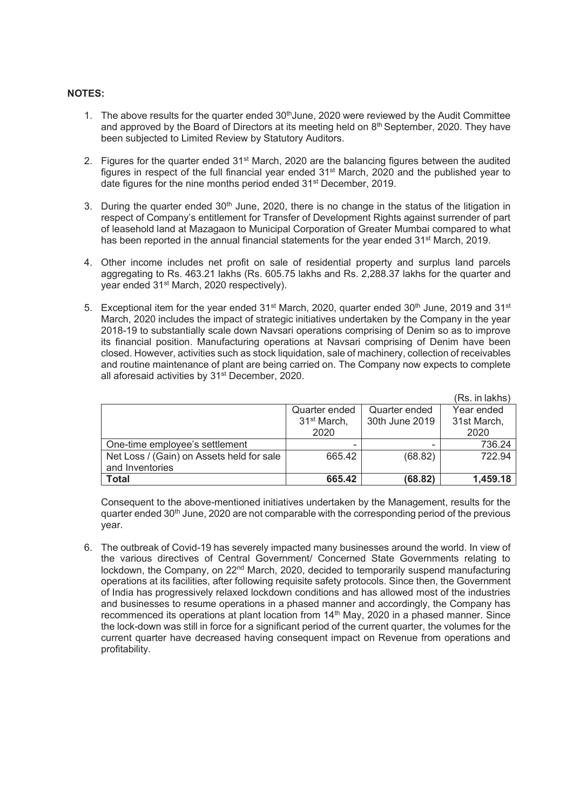## **NOTES:**

- 1. The above results for the quarter ended  $30<sup>th</sup>$ June, 2020 were reviewed by the Audit Committee and approved by the Board of Directors at its meeting held on  $8<sup>th</sup>$  September, 2020. They have been subjected to Limited Review by Statutory Auditors.
- 2. Figures for the quarter ended  $31<sup>st</sup>$  March, 2020 are the balancing figures between the audited figures in respect of the full financial year ended  $31<sup>st</sup>$  March, 2020 and the published year to date figures for the nine months period ended 31<sup>st</sup> December, 2019.
- 3. During the quarter ended 30<sup>th</sup> June, 2020, there is no change in the status of the litigation in respect of Company's entitlement for Transfer of Development Rights against surrender of part of leasehold land at Mazagaon to Municipal Corporation of Greater Mumbai compared to what has been reported in the annual financial statements for the year ended 31<sup>st</sup> March, 2019.
- 4. Other income includes net profit on sale of residential property and surplus land parcels aggregating to Rs. 463.21 lakhs (Rs. 605.75 lakhs and Rs. 2,288.37 lakhs for the quarter and year ended 31st March, 2020 respectively).
- 5. Exceptional item for the year ended 31<sup>st</sup> March, 2020, quarter ended 30<sup>th</sup> June, 2019 and 31<sup>st</sup> March, 2020 includes the impact of strategic initiatives undertaken by the Company in the year 2018-19 to substantially scale down Navsari operations comprising of Denim so as to improve its financial position. Manufacturing operations at Navsari comprising of Denim have been closed. However, activities such as stock liquidation, sale of machinery, collection of receivables and routine maintenance of plant are being carried on. The Company now expects to complete all aforesaid activities by 31<sup>st</sup> December, 2020.

|                                           |                         |                | (Rs. in lakhs) |
|-------------------------------------------|-------------------------|----------------|----------------|
|                                           | Quarter ended           | Quarter ended  | Year ended     |
|                                           | 31 <sup>st</sup> March, | 30th June 2019 | 31st March,    |
|                                           | 2020                    |                | 2020           |
| One-time employee's settlement            |                         |                | 736.24         |
| Net Loss / (Gain) on Assets held for sale | 665.42                  | (68.82)        | 722.94         |
| and Inventories                           |                         |                |                |
| <b>Total</b>                              | 665.42                  | (68.82)        | 1,459.18       |

Consequent to the above-mentioned initiatives undertaken by the Management, results for the quarter ended  $30<sup>th</sup>$  June, 2020 are not comparable with the corresponding period of the previous year.

6. The outbreak of Covid-19 has severely impacted many businesses around the world. In view of the various directives of Central Government/ Concerned State Governments relating to lockdown, the Company, on  $22<sup>nd</sup>$  March, 2020, decided to temporarily suspend manufacturing operations at its facilities, after following requisite safety protocols. Since then, the Government of India has progressively relaxed lockdown conditions and has allowed most of the industries and businesses to resume operations in a phased manner and accordingly, the Company has recommenced its operations at plant location from 14<sup>th</sup> May, 2020 in a phased manner. Since the lock-down was still in force for a significant period of the current quarter, the volumes for the current quarter have decreased having consequent impact on Revenue from operations and profitability.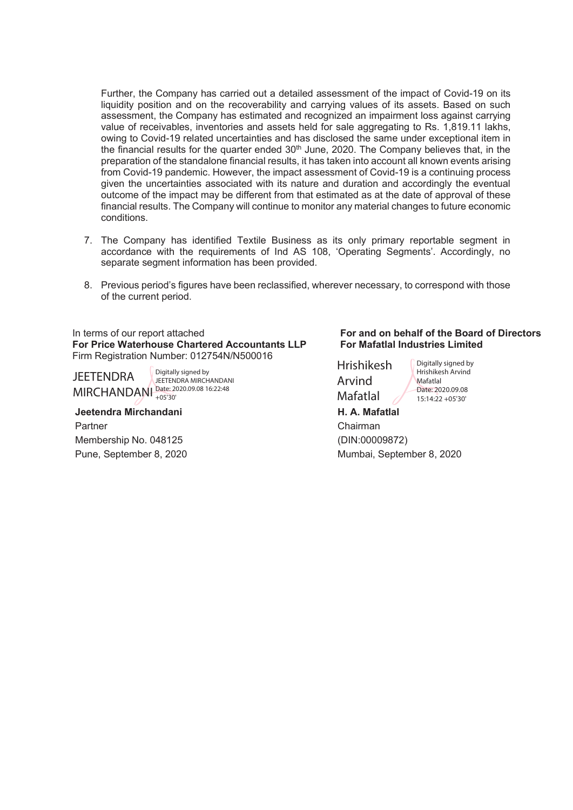Further, the Company has carried out a detailed assessment of the impact of Covid-19 on its liquidity position and on the recoverability and carrying values of its assets. Based on such assessment, the Company has estimated and recognized an impairment loss against carrying value of receivables, inventories and assets held for sale aggregating to Rs. 1,819.11 lakhs, owing to Covid-19 related uncertainties and has disclosed the same under exceptional item in the financial results for the quarter ended  $30<sup>th</sup>$  June, 2020. The Company believes that, in the preparation of the standalone financial results, it has taken into account all known events arising from Covid-19 pandemic. However, the impact assessment of Covid-19 is a continuing process given the uncertainties associated with its nature and duration and accordingly the eventual outcome of the impact may be different from that estimated as at the date of approval of these financial results. The Company will continue to monitor any material changes to future economic conditions.

- 7. The Company has identified Textile Business as its only primary reportable segment in accordance with the requirements of Ind AS 108, 'Operating Segments'. Accordingly, no separate segment information has been provided.
- 8. Previous period's figures have been reclassified, wherever necessary, to correspond with those of the current period.

**For Price Waterhouse Chartered Accountants LLP** Firm Registration Number: 012754N/N500016

**JEETENDRA** 

MIRCHANDANI Date: 2020.09.08 16:22:48 Digitally signed by JEETENDRA MIRCHANDANI +05'30'

 **Jeetendra Mirchandani H. A. Mafatlal** Partner Chairman Membership No. 048125 (DIN:00009872)

#### In terms of our report attached **For and on behalf of the Board of Directors For Mafatlal Industries Limited**

Hrishikesh Arvind Mafatlal

Digitally signed by Hrishikesh Arvind Mafatlal Date: 2020.09.08  $15:14:22 + 05'30'$ 

Pune, September 8, 2020 Mumbai, September 8, 2020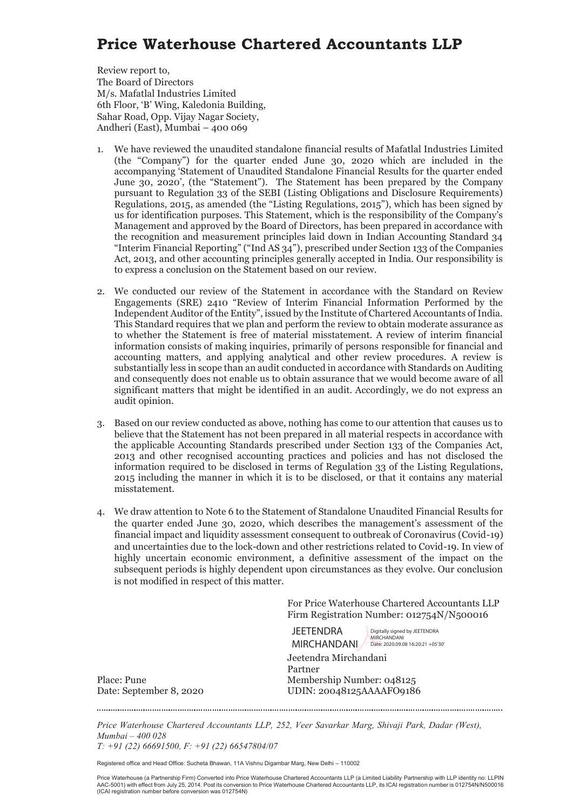## **Price Waterhouse Chartered Accountants LLP**

Review report to, The Board of Directors M/s. Mafatlal Industries Limited 6th Floor, 'B' Wing, Kaledonia Building, Sahar Road, Opp. Vijay Nagar Society, Andheri (East), Mumbai – 400 069

- 1. We have reviewed the unaudited standalone financial results of Mafatlal Industries Limited (the "Company") for the quarter ended June 30, 2020 which are included in the accompanying 'Statement of Unaudited Standalone Financial Results for the quarter ended June 30, 2020', (the "Statement"). The Statement has been prepared by the Company pursuant to Regulation 33 of the SEBI (Listing Obligations and Disclosure Requirements) Regulations, 2015, as amended (the "Listing Regulations, 2015"), which has been signed by us for identification purposes. This Statement, which is the responsibility of the Company's Management and approved by the Board of Directors, has been prepared in accordance with the recognition and measurement principles laid down in Indian Accounting Standard 34 "Interim Financial Reporting" ("Ind AS 34"), prescribed under Section 133 of the Companies Act, 2013, and other accounting principles generally accepted in India. Our responsibility is to express a conclusion on the Statement based on our review.
- 2. We conducted our review of the Statement in accordance with the Standard on Review Engagements (SRE) 2410 "Review of Interim Financial Information Performed by the Independent Auditor of the Entity", issued by the Institute of Chartered Accountants of India. This Standard requires that we plan and perform the review to obtain moderate assurance as to whether the Statement is free of material misstatement. A review of interim financial information consists of making inquiries, primarily of persons responsible for financial and accounting matters, and applying analytical and other review procedures. A review is substantially less in scope than an audit conducted in accordance with Standards on Auditing and consequently does not enable us to obtain assurance that we would become aware of all significant matters that might be identified in an audit. Accordingly, we do not express an audit opinion.
- 3. Based on our review conducted as above, nothing has come to our attention that causes us to believe that the Statement has not been prepared in all material respects in accordance with the applicable Accounting Standards prescribed under Section 133 of the Companies Act, 2013 and other recognised accounting practices and policies and has not disclosed the information required to be disclosed in terms of Regulation 33 of the Listing Regulations, 2015 including the manner in which it is to be disclosed, or that it contains any material misstatement.
- 4. We draw attention to Note 6 to the Statement of Standalone Unaudited Financial Results for the quarter ended June 30, 2020, which describes the management's assessment of the financial impact and liquidity assessment consequent to outbreak of Coronavirus (Covid-19) and uncertainties due to the lock-down and other restrictions related to Covid-19. In view of highly uncertain economic environment, a definitive assessment of the impact on the subsequent periods is highly dependent upon circumstances as they evolve. Our conclusion is not modified in respect of this matter.

For Price Waterhouse Chartered Accountants LLP Firm Registration Number: 012754N/N500016

Jeetendra Mirchandani Partner Place: Pune Membership Number: 048125 **JEETENDRA** MIRCHANDANI 2020.09.08 16:20:21 +05'30 Digitally signed by JEETENDRA MIRCHANDANI

Date: September 8, 2020 UDIN: 20048125AAAAFO9186

*Price Waterhouse Chartered Accountants LLP, 252, Veer Savarkar Marg, Shivaji Park, Dadar (West), Mumbai – 400 028 T: +91 (22) 66691500, F: +91 (22) 66547804/07* 

Registered office and Head Office: Sucheta Bhawan, 11A Vishnu Digambar Marg, New Delhi – 110002

Price Waterhouse (a Partnership Firm) Converted into Price Waterhouse Chartered Accountants LLP (a Limited Liability Partnership with LLP identity no: LLPIN AAC-5001) with effect from July 25, 2014. Post its conversion to Price Waterhouse Chartered Accountants LLP, its ICAI registration number is 012754N/N500016 (ICAI registration number before conversion was 012754N)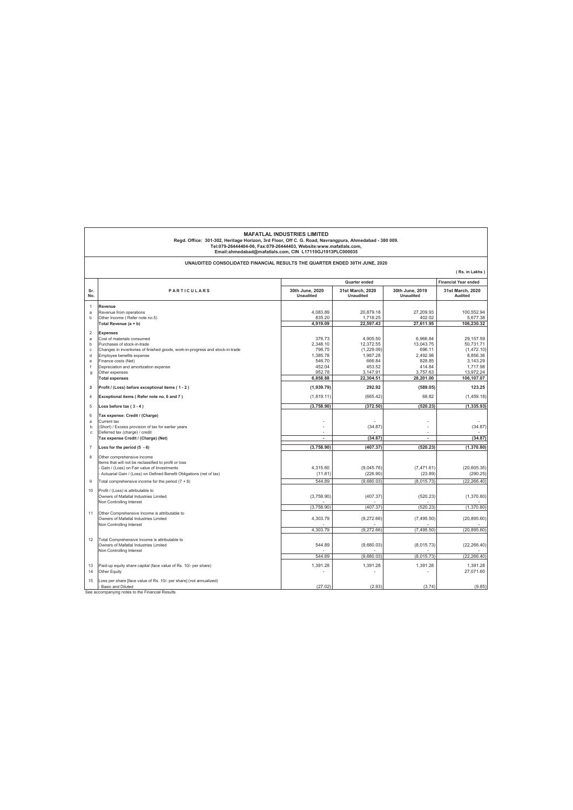|                                         | <b>MAFATLAL INDUSTRIES LIMITED</b><br>Regd. Office: 301-302, Heritage Horizon, 3rd Floor, Off C. G. Road, Navrangpura, Ahmedabad - 380 009.<br>Tel:079-26444404-06, Fax:079-26444403, Website:www.mafatlals.com,<br>Email:ahmedabad@mafatlals.com, CIN L17110GJ1913PLC000035 |                                                  |                                                        |                                                    |                                                             |
|-----------------------------------------|------------------------------------------------------------------------------------------------------------------------------------------------------------------------------------------------------------------------------------------------------------------------------|--------------------------------------------------|--------------------------------------------------------|----------------------------------------------------|-------------------------------------------------------------|
|                                         | UNAUDITED CONSOLIDATED FINANCIAL RESULTS THE QUARTER ENDED 30TH JUNE, 2020                                                                                                                                                                                                   |                                                  |                                                        |                                                    | (Rs. in Lakhs)                                              |
|                                         |                                                                                                                                                                                                                                                                              |                                                  | Quarter ended                                          |                                                    | <b>Financial Year ended</b>                                 |
| Sr.<br>No.                              | <b>PARTICULARS</b>                                                                                                                                                                                                                                                           | 30th June, 2020<br><b>Unaudited</b>              | 31st March, 2020<br>Unaudited                          | 30th June, 2019<br>Unaudited                       | 31st March, 2020<br>Audited                                 |
| $\overline{1}$<br>a<br>$\mathbf b$      | Revenue<br>Revenue from operations<br>Other Income (Refer note no.5)                                                                                                                                                                                                         | 4.083.89<br>835.20<br>4.919.09                   | 20.879.18<br>1.718.25<br>22,597.43                     | 27.209.93<br>402.02<br>27,611.95                   | 100.552.94<br>5,677.38<br>106,230.32                        |
| $\overline{2}$<br>a<br>$\mathbf b$      | Total Revenue (a + b)<br>Expenses<br>Cost of materials consumed<br>Purchases of stock-in-trade                                                                                                                                                                               | 376.73<br>2,348.10                               | 4,905.50<br>12,372.55                                  | 6,966.84<br>13,043.75                              | 29,157.59<br>50,731.71                                      |
| $\mathbf c$<br>d<br>e<br>$\overline{f}$ | Changes in inventories of finished goods, work-in-progress and stock-in-trade<br>Employee benefits expense<br>Finance costs (Net)<br>Depreciation and amortization expense<br>Other expenses                                                                                 | 796.75<br>1,385.78<br>546.70<br>452.04<br>952.78 | (1,229.09)<br>1,987.28<br>666.84<br>453.52<br>3,147.91 | 696.11<br>2.492.98<br>828.85<br>414.84<br>3,757.63 | (1,472.10)<br>8,856.36<br>3,143.29<br>1.717.98<br>13,972.24 |
| $\mathbf{g}$                            | <b>Total expenses</b>                                                                                                                                                                                                                                                        | 6,858.88                                         | 22,304.51                                              | 28,201.00                                          | 106,107.07                                                  |
| $\overline{\mathbf{3}}$                 | Profit / (Loss) before exceptional items (1-2)                                                                                                                                                                                                                               | (1,939.79)                                       | 292.92                                                 | (589.05)                                           | 123.25                                                      |
| $\overline{4}$                          | Exceptional items (Refer note no. 6 and 7)                                                                                                                                                                                                                                   | (1,819.11)                                       | (665.42)                                               | 68.82                                              | (1,459.18)                                                  |
| 5                                       | Loss before tax $(3 - 4)$                                                                                                                                                                                                                                                    | (3,758.90)                                       | (372.50)                                               | (520.23)                                           | (1, 335.93)                                                 |
| 6<br>a<br>$\mathbf b$<br>$\mathbf{c}$   | Tax expense: Credit / (Charge)<br>Current tax<br>(Short) / Excess provision of tax for earlier years<br>Deferred tax (charge) / credit<br>Tax expense Credit / (Charge) (Net)                                                                                                | ٠<br>ä,                                          | (34.87)<br>(34.87)                                     | ÷.<br>ä,                                           | (34.87)<br>(34.87)                                          |
| $\overline{7}$                          | Loss for the period $(5 - 6)$                                                                                                                                                                                                                                                | (3,758.90)                                       | (407.37)                                               | (520.23)                                           | (1,370.80)                                                  |
| 8                                       | Other comprehensive income<br>Items that will not be reclassified to profit or loss<br>Gain / (Loss) on Fair value of Investments<br>Actuarial Gain / (Loss) on Defined Benefit Obligations (net of tax)                                                                     | 4,315.60<br>(11.81)                              | (9,045.76)<br>(226.90)                                 | (7,471.61)<br>(23.89)                              | (20, 605.35)<br>(290.25)                                    |
| $\overline{9}$                          | Total comprehensive income for the period (7 + 8)                                                                                                                                                                                                                            | 544.89                                           | (9.680.03)                                             | (8,015.73)                                         | (22, 266.40)                                                |
| 10                                      | Profit / (Loss) is attributable to<br>Owners of Mafatlal Industries Limited<br>Non Controlling Interest                                                                                                                                                                      | (3,758.90)                                       | (407.37)                                               | (520.23)                                           | (1,370.80)                                                  |
| 11                                      | Other Comprehensive Income is attributable to                                                                                                                                                                                                                                | (3,758.90)                                       | (407.37)                                               | (520.23)                                           | (1,370.80)                                                  |
|                                         | Owners of Mafatlal Industries Limited<br>Non Controlling Interest                                                                                                                                                                                                            | 4,303.79<br>4.303.79                             | (9,272.66)<br>(9, 272.66)                              | (7, 495.50)<br>(7.495.50)                          | (20, 895.60)<br>(20, 895.60)                                |
| 12                                      | Total Comprehensive Income is attributable to<br>Owners of Mafatlal Industries Limited<br>Non Controlling Interest                                                                                                                                                           | 544.89                                           | (9,680.03)                                             | (8,015.73)                                         | (22, 266.40)                                                |
|                                         |                                                                                                                                                                                                                                                                              | 544.89                                           | (9.680.03)                                             | (8,015.73)                                         | (22.266.40)                                                 |
| 13<br>14                                | Paid-up equity share capital (face value of Rs. 10/- per share)<br>Other Equity                                                                                                                                                                                              | 1,391.28                                         | 1,391.28                                               | 1,391.28                                           | 1,391.28<br>27,071.60                                       |
| 15                                      | Loss per share [face value of Rs. 10/- per share] (not annualized)<br>Basic and Diluted                                                                                                                                                                                      | (27.02)                                          | (2.93)                                                 | (3.74)                                             | (9.85)                                                      |

See accompanying notes to the Financial Results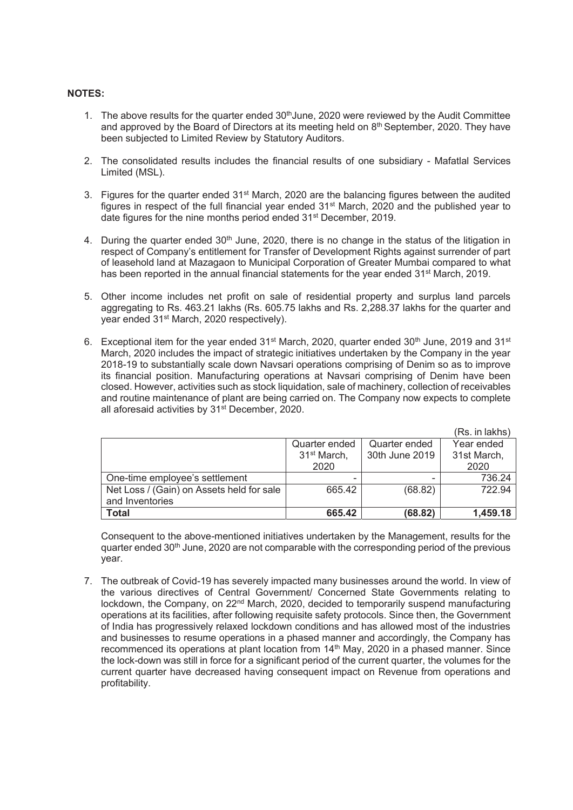## **NOTES:**

- 1. The above results for the quarter ended  $30<sup>th</sup>$ June, 2020 were reviewed by the Audit Committee and approved by the Board of Directors at its meeting held on  $8<sup>th</sup>$  September, 2020. They have been subjected to Limited Review by Statutory Auditors.
- 2. The consolidated results includes the financial results of one subsidiary Mafatlal Services Limited (MSL).
- 3. Figures for the quarter ended 31<sup>st</sup> March, 2020 are the balancing figures between the audited figures in respect of the full financial year ended 31st March, 2020 and the published year to date figures for the nine months period ended 31st December, 2019.
- 4. During the quarter ended  $30<sup>th</sup>$  June, 2020, there is no change in the status of the litigation in respect of Company's entitlement for Transfer of Development Rights against surrender of part of leasehold land at Mazagaon to Municipal Corporation of Greater Mumbai compared to what has been reported in the annual financial statements for the year ended 31<sup>st</sup> March, 2019.
- 5. Other income includes net profit on sale of residential property and surplus land parcels aggregating to Rs. 463.21 lakhs (Rs. 605.75 lakhs and Rs. 2,288.37 lakhs for the quarter and year ended 31<sup>st</sup> March, 2020 respectively).
- 6. Exceptional item for the year ended 31<sup>st</sup> March, 2020, quarter ended 30<sup>th</sup> June, 2019 and 31<sup>st</sup> March, 2020 includes the impact of strategic initiatives undertaken by the Company in the year 2018-19 to substantially scale down Navsari operations comprising of Denim so as to improve its financial position. Manufacturing operations at Navsari comprising of Denim have been closed. However, activities such as stock liquidation, sale of machinery, collection of receivables and routine maintenance of plant are being carried on. The Company now expects to complete all aforesaid activities by  $31<sup>st</sup>$  December, 2020.

|                                           |                         |                | (Rs. in lakhs) |
|-------------------------------------------|-------------------------|----------------|----------------|
|                                           | Quarter ended           | Quarter ended  | Year ended     |
|                                           | 31 <sup>st</sup> March, | 30th June 2019 | 31st March,    |
|                                           | 2020                    |                | 2020           |
| One-time employee's settlement            |                         |                | 736.24         |
| Net Loss / (Gain) on Assets held for sale | 665.42                  | (68.82)        | 722.94         |
| and Inventories                           |                         |                |                |
| <b>Total</b>                              | 665.42                  | (68.82)        | 1,459.18       |

Consequent to the above-mentioned initiatives undertaken by the Management, results for the quarter ended  $30<sup>th</sup>$  June, 2020 are not comparable with the corresponding period of the previous year.

7. The outbreak of Covid-19 has severely impacted many businesses around the world. In view of the various directives of Central Government/ Concerned State Governments relating to lockdown, the Company, on 22<sup>nd</sup> March, 2020, decided to temporarily suspend manufacturing operations at its facilities, after following requisite safety protocols. Since then, the Government of India has progressively relaxed lockdown conditions and has allowed most of the industries and businesses to resume operations in a phased manner and accordingly, the Company has recommenced its operations at plant location from 14<sup>th</sup> May, 2020 in a phased manner. Since the lock-down was still in force for a significant period of the current quarter, the volumes for the current quarter have decreased having consequent impact on Revenue from operations and profitability.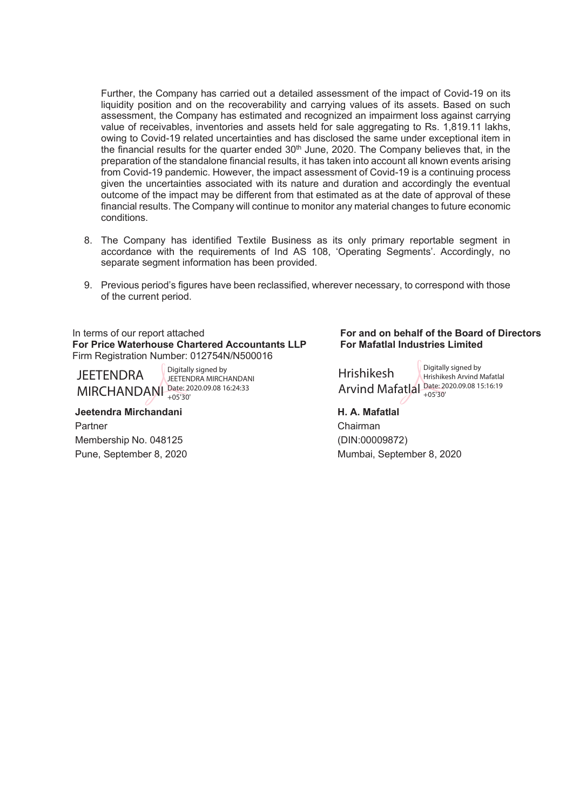Further, the Company has carried out a detailed assessment of the impact of Covid-19 on its liquidity position and on the recoverability and carrying values of its assets. Based on such assessment, the Company has estimated and recognized an impairment loss against carrying value of receivables, inventories and assets held for sale aggregating to Rs. 1,819.11 lakhs, owing to Covid-19 related uncertainties and has disclosed the same under exceptional item in the financial results for the quarter ended  $30<sup>th</sup>$  June, 2020. The Company believes that, in the preparation of the standalone financial results, it has taken into account all known events arising from Covid-19 pandemic. However, the impact assessment of Covid-19 is a continuing process given the uncertainties associated with its nature and duration and accordingly the eventual outcome of the impact may be different from that estimated as at the date of approval of these financial results. The Company will continue to monitor any material changes to future economic conditions.

- 8. The Company has identified Textile Business as its only primary reportable segment in accordance with the requirements of Ind AS 108, 'Operating Segments'. Accordingly, no separate segment information has been provided.
- 9. Previous period's figures have been reclassified, wherever necessary, to correspond with those of the current period.

In terms of our report attached **For and on behalf of the Board of Directors For Price Waterhouse Chartered Accountants LLP** Firm Registration Number: 012754N/N500016

**JEFTENDRA** 

MIRCHANDANI Date: 2020.09.08 16:24:33 Digitally signed by JEETENDRA MIRCHANDANI +05'30'

 **Jeetendra Mirchandani H. A. Mafatlal** Partner Chairman Membership No. 048125 (DIN:00009872)

# **For Mafatlal Industries Limited**

Hrishikesh Arvind Mafatlal Date: 2020.09.08 15:16:19 Digitally signed by Hrishikesh Arvind Mafatlal +05'30'

Pune, September 8, 2020 Mumbai, September 8, 2020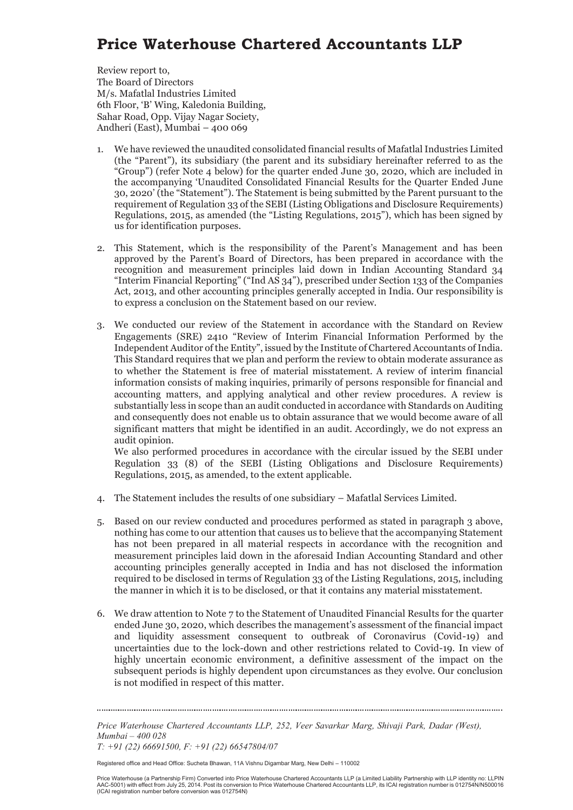## **Price Waterhouse Chartered Accountants LLP**

Review report to, The Board of Directors M/s. Mafatlal Industries Limited 6th Floor, 'B' Wing, Kaledonia Building, Sahar Road, Opp. Vijay Nagar Society, Andheri (East), Mumbai – 400 069

- 1. We have reviewed the unaudited consolidated financial results of Mafatlal Industries Limited (the "Parent"), its subsidiary (the parent and its subsidiary hereinafter referred to as the "Group") (refer Note 4 below) for the quarter ended June 30, 2020, which are included in the accompanying 'Unaudited Consolidated Financial Results for the Quarter Ended June 30, 2020' (the "Statement"). The Statement is being submitted by the Parent pursuant to the requirement of Regulation 33 of the SEBI (Listing Obligations and Disclosure Requirements) Regulations, 2015, as amended (the "Listing Regulations, 2015"), which has been signed by us for identification purposes.
- 2. This Statement, which is the responsibility of the Parent's Management and has been approved by the Parent's Board of Directors, has been prepared in accordance with the recognition and measurement principles laid down in Indian Accounting Standard 34 "Interim Financial Reporting" ("Ind AS  $34$ "), prescribed under Section 133 of the Companies Act, 2013, and other accounting principles generally accepted in India. Our responsibility is to express a conclusion on the Statement based on our review.
- 3. We conducted our review of the Statement in accordance with the Standard on Review Engagements (SRE) 2410 "Review of Interim Financial Information Performed by the Independent Auditor of the Entity", issued by the Institute of Chartered Accountants of India. This Standard requires that we plan and perform the review to obtain moderate assurance as to whether the Statement is free of material misstatement. A review of interim financial information consists of making inquiries, primarily of persons responsible for financial and accounting matters, and applying analytical and other review procedures. A review is substantially less in scope than an audit conducted in accordance with Standards on Auditing and consequently does not enable us to obtain assurance that we would become aware of all significant matters that might be identified in an audit. Accordingly, we do not express an audit opinion.

We also performed procedures in accordance with the circular issued by the SEBI under Regulation 33 (8) of the SEBI (Listing Obligations and Disclosure Requirements) Regulations, 2015, as amended, to the extent applicable.

- 4. The Statement includes the results of one subsidiary Mafatlal Services Limited.
- 5. Based on our review conducted and procedures performed as stated in paragraph 3 above, nothing has come to our attention that causes us to believe that the accompanying Statement has not been prepared in all material respects in accordance with the recognition and measurement principles laid down in the aforesaid Indian Accounting Standard and other accounting principles generally accepted in India and has not disclosed the information required to be disclosed in terms of Regulation 33 of the Listing Regulations, 2015, including the manner in which it is to be disclosed, or that it contains any material misstatement.
- 6. We draw attention to Note 7 to the Statement of Unaudited Financial Results for the quarter ended June 30, 2020, which describes the management's assessment of the financial impact and liquidity assessment consequent to outbreak of Coronavirus (Covid-19) and uncertainties due to the lock-down and other restrictions related to Covid-19. In view of highly uncertain economic environment, a definitive assessment of the impact on the subsequent periods is highly dependent upon circumstances as they evolve. Our conclusion is not modified in respect of this matter.

*Price Waterhouse Chartered Accountants LLP, 252, Veer Savarkar Marg, Shivaji Park, Dadar (West), Mumbai – 400 028 T: +91 (22) 66691500, F: +91 (22) 66547804/07* 

Registered office and Head Office: Sucheta Bhawan, 11A Vishnu Digambar Marg, New Delhi – 110002

Price Waterhouse (a Partnership Firm) Converted into Price Waterhouse Chartered Accountants LLP (a Limited Liability Partnership with LLP identity no: LLPIN AAC-5001) with effect from July 25, 2014. Post its conversion to Price Waterhouse Chartered Accountants LLP, its ICAI registration number is 012754N/N500016 (ICAI registration number before conversion was 012754N)